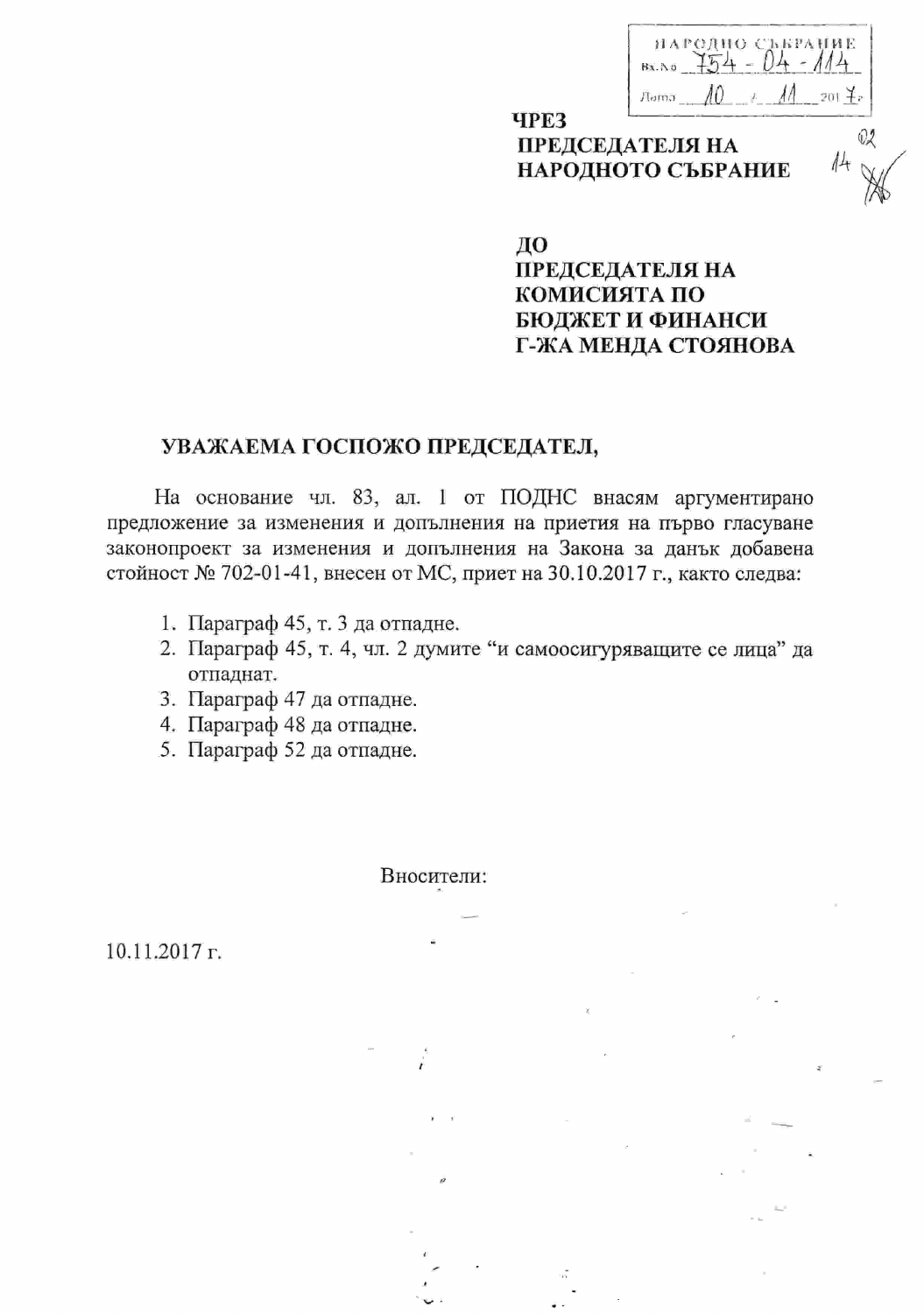| НАРОДНО СЪБРАНИЕ |
|------------------|
| Bx. A.6          |
| Aama             |

## **ЧРЕЗ** ПРЕДСЕДАТЕЛЯ НА НАРОДНОТО СЪБРАНИЕ

02

ДО

## **ПРЕДСЕДАТЕЛЯ НА** КОМИСИЯТА ПО БЮДЖЕТ И ФИНАНСИ Г-ЖА МЕНДА СТОЯНОВА

## УВАЖАЕМА ГОСПОЖО ПРЕДСЕДАТЕЛ,

На основание чл. 83, ал. 1 от ПОДНС внасям аргументирано предложение за изменения и допълнения на приетия на първо гласуване законопроект за изменения и допълнения на Закона за данък добавена стойност № 702-01-41, внесен от МС, приет на 30.10.2017 г., както следва:

- 1. Параграф 45, т. 3 да отпадне.
- 2. Параграф 45, т. 4, чл. 2 думите "и самоосигуряващите се лица" да отпаднат.
- 3. Параграф 47 да отпадне.
- 4. Параграф 48 да отпадне.
- 5. Параграф 52 да отпадне.

Вносители:

 $10.11.2017$  r.